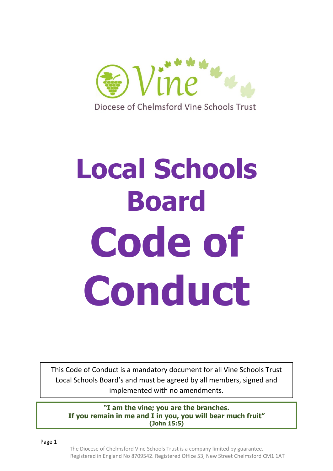

Diocese of Chelmsford Vine Schools Trust

# **Local Schools Board Code of Conduct**

This Code of Conduct is a mandatory document for all Vine Schools Trust Local Schools Board's and must be agreed by all members, signed and implemented with no amendments.

**"I am the vine; you are the branches. If you remain in me and I in you, you will bear much fruit" (John 15:5)**

Page 1

The Diocese of Chelmsford Vine Schools Trust is a company limited by guarantee. Registered in England No 8709542. Registered Office 53, New Street Chelmsford CM1 1AT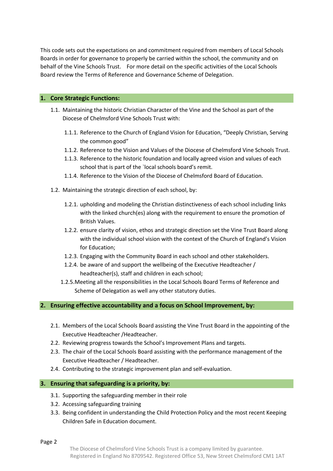This code sets out the expectations on and commitment required from members of Local Schools Boards in order for governance to properly be carried within the school, the community and on behalf of the Vine Schools Trust. For more detail on the specific activities of the Local Schools Board review the Terms of Reference and Governance Scheme of Delegation.

#### **1. Core Strategic Functions:**

- 1.1. Maintaining the historic Christian Character of the Vine and the School as part of the Diocese of Chelmsford Vine Schools Trust with:
	- 1.1.1. Reference to the Church of England Vision for Education, "Deeply Christian, Serving the common good"
	- 1.1.2. Reference to the Vision and Values of the Diocese of Chelmsford Vine Schools Trust.
	- 1.1.3. Reference to the historic foundation and locally agreed vision and values of each school that is part of the `local schools board's remit.
	- 1.1.4. Reference to the Vision of the Diocese of Chelmsford Board of Education.
- 1.2. Maintaining the strategic direction of each school, by:
	- 1.2.1. upholding and modeling the Christian distinctiveness of each school including links with the linked church(es) along with the requirement to ensure the promotion of British Values.
	- 1.2.2. ensure clarity of vision, ethos and strategic direction set the Vine Trust Board along with the individual school vision with the context of the Church of England's Vision for Education;
	- 1.2.3. Engaging with the Community Board in each school and other stakeholders.
	- 1.2.4. be aware of and support the wellbeing of the Executive Headteacher / headteacher(s), staff and children in each school;
	- 1.2.5.Meeting all the responsibilities in the Local Schools Board Terms of Reference and Scheme of Delegation as well any other statutory duties.

#### **2. Ensuring effective accountability and a focus on School Improvement, by:**

- 2.1. Members of the Local Schools Board assisting the Vine Trust Board in the appointing of the Executive Headteacher /Headteacher.
- 2.2. Reviewing progress towards the School's Improvement Plans and targets.
- 2.3. The chair of the Local Schools Board assisting with the performance management of the Executive Headteacher / Headteacher.
- 2.4. Contributing to the strategic improvement plan and self-evaluation.

## **3. Ensuring that safeguarding is a priority, by:**

- 3.1. Supporting the safeguarding member in their role
- 3.2. Accessing safeguarding training
- 3.3. Being confident in understanding the Child Protection Policy and the most recent Keeping Children Safe in Education document.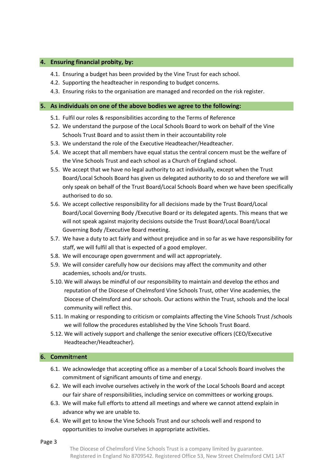#### **4. Ensuring financial probity, by:**

- 4.1. Ensuring a budget has been provided by the Vine Trust for each school.
- 4.2. Supporting the headteacher in responding to budget concerns.
- 4.3. Ensuring risks to the organisation are managed and recorded on the risk register.

#### **5. As individuals on one of the above bodies we agree to the following:**

- 5.1. Fulfil our roles & responsibilities according to the Terms of Reference
- 5.2. We understand the purpose of the Local Schools Board to work on behalf of the Vine Schools Trust Board and to assist them in their accountability role
- 5.3. We understand the role of the Executive Headteacher/Headteacher.
- 5.4. We accept that all members have equal status the central concern must be the welfare of the Vine Schools Trust and each school as a Church of England school.
- 5.5. We accept that we have no legal authority to act individually, except when the Trust Board/Local Schools Board has given us delegated authority to do so and therefore we will only speak on behalf of the Trust Board/Local Schools Board when we have been specifically authorised to do so.
- 5.6. We accept collective responsibility for all decisions made by the Trust Board/Local Board/Local Governing Body /Executive Board or its delegated agents. This means that we will not speak against majority decisions outside the Trust Board/Local Board/Local Governing Body /Executive Board meeting.
- 5.7. We have a duty to act fairly and without prejudice and in so far as we have responsibility for staff, we will fulfil all that is expected of a good employer.
- 5.8. We will encourage open government and will act appropriately.
- 5.9. We will consider carefully how our decisions may affect the community and other academies, schools and/or trusts.
- 5.10. We will always be mindful of our responsibility to maintain and develop the ethos and reputation of the Diocese of Chelmsford Vine Schools Trust, other Vine academies, the Diocese of Chelmsford and our schools. Our actions within the Trust, schools and the local community will reflect this.
- 5.11. In making or responding to criticism or complaints affecting the Vine Schools Trust /schools we will follow the procedures established by the Vine Schools Trust Board.
- 5.12. We will actively support and challenge the senior executive officers (CEO/Executive Headteacher/Headteacher).

# **6. Commit**m**ent**

- 6.1. We acknowledge that accepting office as a member of a Local Schools Board involves the commitment of significant amounts of time and energy.
- 6.2. We will each involve ourselves actively in the work of the Local Schools Board and accept our fair share of responsibilities, including service on committees or working groups.
- 6.3. We will make full efforts to attend all meetings and where we cannot attend explain in advance why we are unable to.
- 6.4. We will get to know the Vine Schools Trust and our schools well and respond to opportunities to involve ourselves in appropriate activities.

Page 3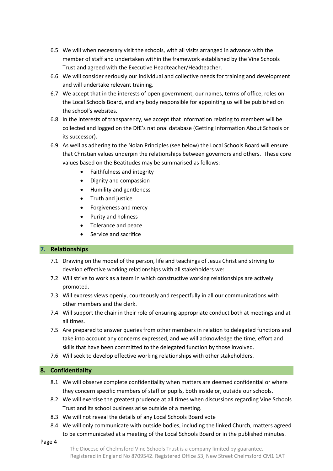- 6.5. We will when necessary visit the schools, with all visits arranged in advance with the member of staff and undertaken within the framework established by the Vine Schools Trust and agreed with the Executive Headteacher/Headteacher.
- 6.6. We will consider seriously our individual and collective needs for training and development and will undertake relevant training.
- 6.7. We accept that in the interests of open government, our names, terms of office, roles on the Local Schools Board, and any body responsible for appointing us will be published on the school's websites.
- 6.8. In the interests of transparency, we accept that information relating to members will be collected and logged on the DfE's national database (Getting Information About Schools or its successor).
- 6.9. As well as adhering to the Nolan Principles (see below) the Local Schools Board will ensure that Christian values underpin the relationships between governors and others. These core values based on the Beatitudes may be summarised as follows:
	- Faithfulness and integrity
	- Dignity and compassion
	- Humility and gentleness
	- Truth and justice
	- Forgiveness and mercy
	- Purity and holiness
	- Tolerance and peace
	- Service and sacrifice

# **7. Relationships**

- 7.1. Drawing on the model of the person, life and teachings of Jesus Christ and striving to develop effective working relationships with all stakeholders we:
- 7.2. Will strive to work as a team in which constructive working relationships are actively promoted.
- 7.3. Will express views openly, courteously and respectfully in all our communications with other members and the clerk.
- 7.4. Will support the chair in their role of ensuring appropriate conduct both at meetings and at all times.
- 7.5. Are prepared to answer queries from other members in relation to delegated functions and take into account any concerns expressed, and we will acknowledge the time, effort and skills that have been committed to the delegated function by those involved.
- 7.6. Will seek to develop effective working relationships with other stakeholders.

# **8. Confidentiality**

- 8.1. We will observe complete confidentiality when matters are deemed confidential or where they concern specific members of staff or pupils, both inside or, outside our schools.
- 8.2. We will exercise the greatest prudence at all times when discussions regarding Vine Schools Trust and its school business arise outside of a meeting.
- 8.3. We will not reveal the details of any Local Schools Board vote
- 8.4. We will only communicate with outside bodies, including the linked Church, matters agreed to be communicated at a meeting of the Local Schools Board or in the published minutes.
- Page 4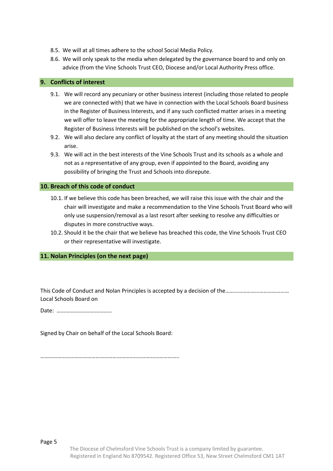- 8.5. We will at all times adhere to the school Social Media Policy.
- 8.6. We will only speak to the media when delegated by the governance board to and only on advice (from the Vine Schools Trust CEO, Diocese and/or Local Authority Press office.

## **9. Conflicts of interest**

- 9.1. We will record any pecuniary or other business interest (including those related to people we are connected with) that we have in connection with the Local Schools Board business in the Register of Business Interests, and if any such conflicted matter arises in a meeting we will offer to leave the meeting for the appropriate length of time. We accept that the Register of Business Interests will be published on the school's websites.
- 9.2. We will also declare any conflict of loyalty at the start of any meeting should the situation arise.
- 9.3. We will act in the best interests of the Vine Schools Trust and its schools as a whole and not as a representative of any group, even if appointed to the Board, avoiding any possibility of bringing the Trust and Schools into disrepute.

## **10. Breach of this code of conduct**

- 10.1. If we believe this code has been breached, we will raise this issue with the chair and the chair will investigate and make a recommendation to the Vine Schools Trust Board who will only use suspension/removal as a last resort after seeking to resolve any difficulties or disputes in more constructive ways.
- 10.2. Should it be the chair that we believe has breached this code, the Vine Schools Trust CEO or their representative will investigate.

# **11. Nolan Principles (on the next page)**

This Code of Conduct and Nolan Principles is accepted by a decision of the……………………………………… Local Schools Board on

Date: …………………………………

Signed by Chair on behalf of the Local Schools Board:

……………………………………………………………………………………..